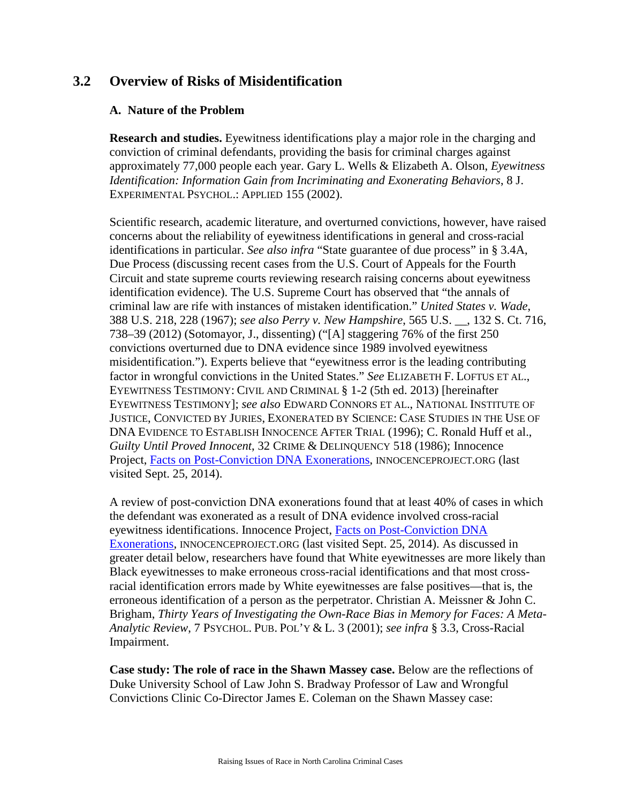## **3.2 Overview of Risks of Misidentification**

## **A. Nature of the Problem**

**Research and studies.** Eyewitness identifications play a major role in the charging and conviction of criminal defendants, providing the basis for criminal charges against approximately 77,000 people each year. Gary L. Wells & Elizabeth A. Olson, *Eyewitness Identification: Information Gain from Incriminating and Exonerating Behaviors*, 8 J. EXPERIMENTAL PSYCHOL.: APPLIED 155 (2002).

Scientific research, academic literature, and overturned convictions, however, have raised concerns about the reliability of eyewitness identifications in general and cross-racial identifications in particular. *See also infra* "State guarantee of due process" in § 3.4A, Due Process (discussing recent cases from the U.S. Court of Appeals for the Fourth Circuit and state supreme courts reviewing research raising concerns about eyewitness identification evidence). The U.S. Supreme Court has observed that "the annals of criminal law are rife with instances of mistaken identification." *United States v. Wade*, 388 U.S. 218, 228 (1967); *see also Perry v. New Hampshire*, 565 U.S. \_\_, 132 S. Ct. 716, 738–39 (2012) (Sotomayor, J., dissenting) ("[A] staggering 76% of the first 250 convictions overturned due to DNA evidence since 1989 involved eyewitness misidentification."). Experts believe that "eyewitness error is the leading contributing factor in wrongful convictions in the United States." *See* ELIZABETH F. LOFTUS ET AL., EYEWITNESS TESTIMONY: CIVIL AND CRIMINAL § 1-2 (5th ed. 2013) [hereinafter EYEWITNESS TESTIMONY]; *see also* EDWARD CONNORS ET AL., NATIONAL INSTITUTE OF JUSTICE, CONVICTED BY JURIES, EXONERATED BY SCIENCE: CASE STUDIES IN THE USE OF DNA EVIDENCE TO ESTABLISH INNOCENCE AFTER TRIAL (1996); C. Ronald Huff et al., *Guilty Until Proved Innocent*, 32 CRIME & DELINQUENCY 518 (1986); Innocence Project, [Facts on Post-Conviction DNA Exonerations,](http://www.innocenceproject.org/Content/Facts_on_PostConviction_DNA_Exonerations.php) INNOCENCEPROJECT.ORG (last visited Sept. 25, 2014).

A review of post-conviction DNA exonerations found that at least 40% of cases in which the defendant was exonerated as a result of DNA evidence involved cross-racial eyewitness identifications. Innocence Project, [Facts on Post-Conviction DNA](http://www.innocenceproject.org/Content/Facts_on_PostConviction_DNA_Exonerations.php)  [Exonerations,](http://www.innocenceproject.org/Content/Facts_on_PostConviction_DNA_Exonerations.php) INNOCENCEPROJECT.ORG (last visited Sept. 25, 2014). As discussed in greater detail below, researchers have found that White eyewitnesses are more likely than Black eyewitnesses to make erroneous cross-racial identifications and that most crossracial identification errors made by White eyewitnesses are false positives—that is, the erroneous identification of a person as the perpetrator. Christian A. Meissner & John C. Brigham, *Thirty Years of Investigating the Own-Race Bias in Memory for Faces: A Meta-Analytic Review*, 7 PSYCHOL. PUB. POL'Y & L. 3 (2001); *see infra* § 3.3, Cross-Racial Impairment.

**Case study: The role of race in the Shawn Massey case.** Below are the reflections of Duke University School of Law John S. Bradway Professor of Law and Wrongful Convictions Clinic Co-Director James E. Coleman on the Shawn Massey case: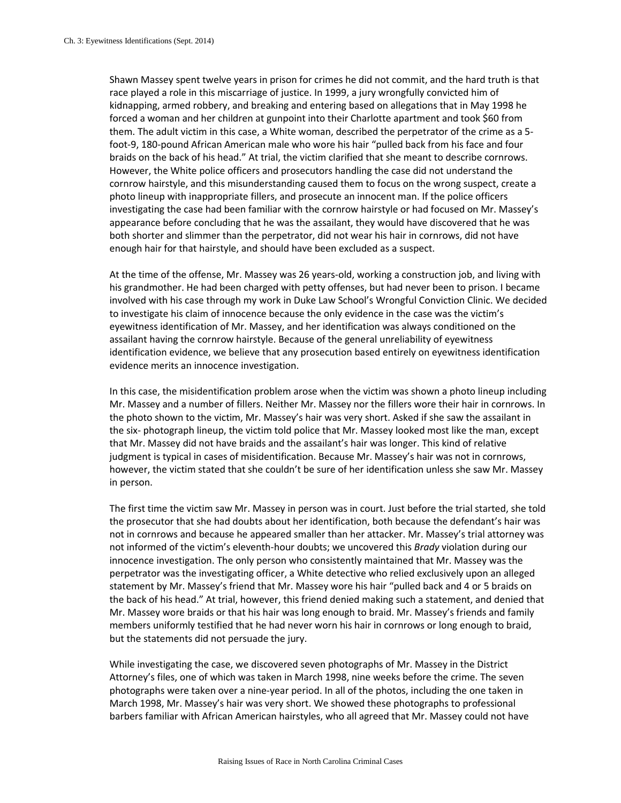Shawn Massey spent twelve years in prison for crimes he did not commit, and the hard truth is that race played a role in this miscarriage of justice. In 1999, a jury wrongfully convicted him of kidnapping, armed robbery, and breaking and entering based on allegations that in May 1998 he forced a woman and her children at gunpoint into their Charlotte apartment and took \$60 from them. The adult victim in this case, a White woman, described the perpetrator of the crime as a 5 foot-9, 180-pound African American male who wore his hair "pulled back from his face and four braids on the back of his head." At trial, the victim clarified that she meant to describe cornrows. However, the White police officers and prosecutors handling the case did not understand the cornrow hairstyle, and this misunderstanding caused them to focus on the wrong suspect, create a photo lineup with inappropriate fillers, and prosecute an innocent man. If the police officers investigating the case had been familiar with the cornrow hairstyle or had focused on Mr. Massey's appearance before concluding that he was the assailant, they would have discovered that he was both shorter and slimmer than the perpetrator, did not wear his hair in cornrows, did not have enough hair for that hairstyle, and should have been excluded as a suspect.

At the time of the offense, Mr. Massey was 26 years-old, working a construction job, and living with his grandmother. He had been charged with petty offenses, but had never been to prison. I became involved with his case through my work in Duke Law School's Wrongful Conviction Clinic. We decided to investigate his claim of innocence because the only evidence in the case was the victim's eyewitness identification of Mr. Massey, and her identification was always conditioned on the assailant having the cornrow hairstyle. Because of the general unreliability of eyewitness identification evidence, we believe that any prosecution based entirely on eyewitness identification evidence merits an innocence investigation.

In this case, the misidentification problem arose when the victim was shown a photo lineup including Mr. Massey and a number of fillers. Neither Mr. Massey nor the fillers wore their hair in cornrows. In the photo shown to the victim, Mr. Massey's hair was very short. Asked if she saw the assailant in the six- photograph lineup, the victim told police that Mr. Massey looked most like the man, except that Mr. Massey did not have braids and the assailant's hair was longer. This kind of relative judgment is typical in cases of misidentification. Because Mr. Massey's hair was not in cornrows, however, the victim stated that she couldn't be sure of her identification unless she saw Mr. Massey in person.

The first time the victim saw Mr. Massey in person was in court. Just before the trial started, she told the prosecutor that she had doubts about her identification, both because the defendant's hair was not in cornrows and because he appeared smaller than her attacker. Mr. Massey's trial attorney was not informed of the victim's eleventh-hour doubts; we uncovered this *Brady* violation during our innocence investigation. The only person who consistently maintained that Mr. Massey was the perpetrator was the investigating officer, a White detective who relied exclusively upon an alleged statement by Mr. Massey's friend that Mr. Massey wore his hair "pulled back and 4 or 5 braids on the back of his head." At trial, however, this friend denied making such a statement, and denied that Mr. Massey wore braids or that his hair was long enough to braid. Mr. Massey's friends and family members uniformly testified that he had never worn his hair in cornrows or long enough to braid, but the statements did not persuade the jury.

While investigating the case, we discovered seven photographs of Mr. Massey in the District Attorney's files, one of which was taken in March 1998, nine weeks before the crime. The seven photographs were taken over a nine-year period. In all of the photos, including the one taken in March 1998, Mr. Massey's hair was very short. We showed these photographs to professional barbers familiar with African American hairstyles, who all agreed that Mr. Massey could not have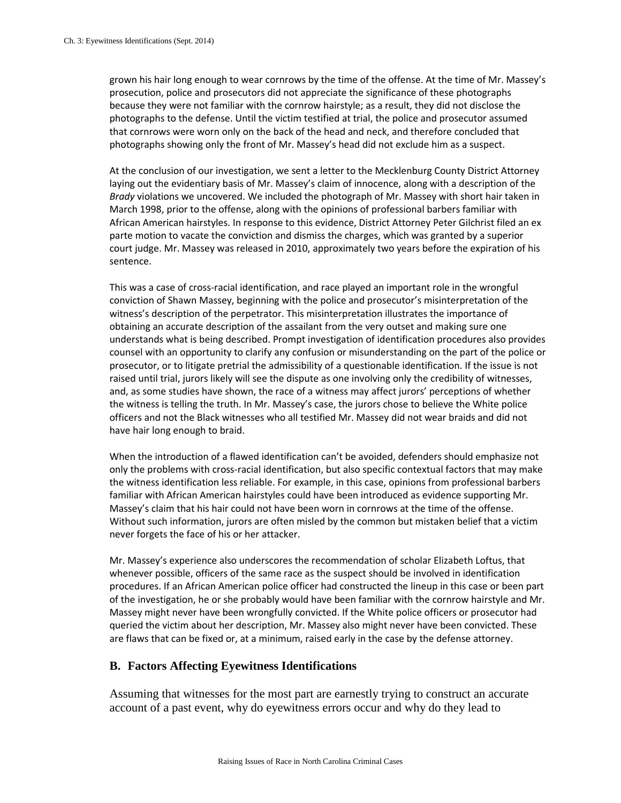grown his hair long enough to wear cornrows by the time of the offense. At the time of Mr. Massey's prosecution, police and prosecutors did not appreciate the significance of these photographs because they were not familiar with the cornrow hairstyle; as a result, they did not disclose the photographs to the defense. Until the victim testified at trial, the police and prosecutor assumed that cornrows were worn only on the back of the head and neck, and therefore concluded that photographs showing only the front of Mr. Massey's head did not exclude him as a suspect.

At the conclusion of our investigation, we sent a letter to the Mecklenburg County District Attorney laying out the evidentiary basis of Mr. Massey's claim of innocence, along with a description of the *Brady* violations we uncovered. We included the photograph of Mr. Massey with short hair taken in March 1998, prior to the offense, along with the opinions of professional barbers familiar with African American hairstyles. In response to this evidence, District Attorney Peter Gilchrist filed an ex parte motion to vacate the conviction and dismiss the charges, which was granted by a superior court judge. Mr. Massey was released in 2010, approximately two years before the expiration of his sentence.

This was a case of cross-racial identification, and race played an important role in the wrongful conviction of Shawn Massey, beginning with the police and prosecutor's misinterpretation of the witness's description of the perpetrator. This misinterpretation illustrates the importance of obtaining an accurate description of the assailant from the very outset and making sure one understands what is being described. Prompt investigation of identification procedures also provides counsel with an opportunity to clarify any confusion or misunderstanding on the part of the police or prosecutor, or to litigate pretrial the admissibility of a questionable identification. If the issue is not raised until trial, jurors likely will see the dispute as one involving only the credibility of witnesses, and, as some studies have shown, the race of a witness may affect jurors' perceptions of whether the witness is telling the truth. In Mr. Massey's case, the jurors chose to believe the White police officers and not the Black witnesses who all testified Mr. Massey did not wear braids and did not have hair long enough to braid.

When the introduction of a flawed identification can't be avoided, defenders should emphasize not only the problems with cross-racial identification, but also specific contextual factors that may make the witness identification less reliable. For example, in this case, opinions from professional barbers familiar with African American hairstyles could have been introduced as evidence supporting Mr. Massey's claim that his hair could not have been worn in cornrows at the time of the offense. Without such information, jurors are often misled by the common but mistaken belief that a victim never forgets the face of his or her attacker.

Mr. Massey's experience also underscores the recommendation of scholar Elizabeth Loftus, that whenever possible, officers of the same race as the suspect should be involved in identification procedures. If an African American police officer had constructed the lineup in this case or been part of the investigation, he or she probably would have been familiar with the cornrow hairstyle and Mr. Massey might never have been wrongfully convicted. If the White police officers or prosecutor had queried the victim about her description, Mr. Massey also might never have been convicted. These are flaws that can be fixed or, at a minimum, raised early in the case by the defense attorney.

## **B. Factors Affecting Eyewitness Identifications**

Assuming that witnesses for the most part are earnestly trying to construct an accurate account of a past event, why do eyewitness errors occur and why do they lead to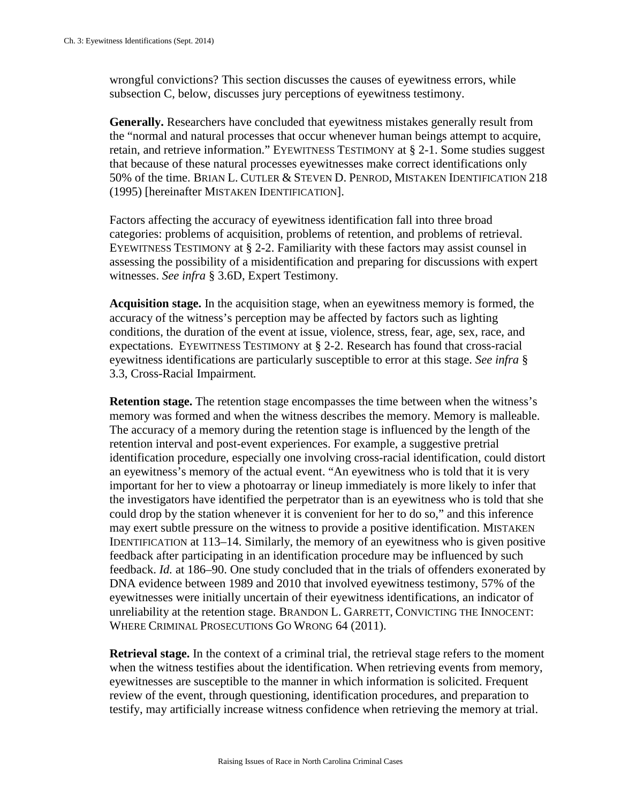wrongful convictions? This section discusses the causes of eyewitness errors, while subsection C, below, discusses jury perceptions of eyewitness testimony.

**Generally.** Researchers have concluded that eyewitness mistakes generally result from the "normal and natural processes that occur whenever human beings attempt to acquire, retain, and retrieve information." EYEWITNESS TESTIMONY at § 2-1. Some studies suggest that because of these natural processes eyewitnesses make correct identifications only 50% of the time. BRIAN L. CUTLER & STEVEN D. PENROD, MISTAKEN IDENTIFICATION 218 (1995) [hereinafter MISTAKEN IDENTIFICATION].

Factors affecting the accuracy of eyewitness identification fall into three broad categories: problems of acquisition, problems of retention, and problems of retrieval. EYEWITNESS TESTIMONY at § 2-2. Familiarity with these factors may assist counsel in assessing the possibility of a misidentification and preparing for discussions with expert witnesses. *See infra* § 3.6D, Expert Testimony*.*

**Acquisition stage.** In the acquisition stage, when an eyewitness memory is formed, the accuracy of the witness's perception may be affected by factors such as lighting conditions, the duration of the event at issue, violence, stress, fear, age, sex, race, and expectations. EYEWITNESS TESTIMONY at § 2-2. Research has found that cross-racial eyewitness identifications are particularly susceptible to error at this stage. *See infra* § 3.3, Cross-Racial Impairment*.*

**Retention stage.** The retention stage encompasses the time between when the witness's memory was formed and when the witness describes the memory. Memory is malleable. The accuracy of a memory during the retention stage is influenced by the length of the retention interval and post-event experiences. For example, a suggestive pretrial identification procedure, especially one involving cross-racial identification, could distort an eyewitness's memory of the actual event. "An eyewitness who is told that it is very important for her to view a photoarray or lineup immediately is more likely to infer that the investigators have identified the perpetrator than is an eyewitness who is told that she could drop by the station whenever it is convenient for her to do so," and this inference may exert subtle pressure on the witness to provide a positive identification. MISTAKEN IDENTIFICATION at 113–14. Similarly, the memory of an eyewitness who is given positive feedback after participating in an identification procedure may be influenced by such feedback. *Id.* at 186–90. One study concluded that in the trials of offenders exonerated by DNA evidence between 1989 and 2010 that involved eyewitness testimony, 57% of the eyewitnesses were initially uncertain of their eyewitness identifications, an indicator of unreliability at the retention stage. BRANDON L. GARRETT, CONVICTING THE INNOCENT: WHERE CRIMINAL PROSECUTIONS GO WRONG 64 (2011).

**Retrieval stage.** In the context of a criminal trial, the retrieval stage refers to the moment when the witness testifies about the identification. When retrieving events from memory, eyewitnesses are susceptible to the manner in which information is solicited. Frequent review of the event, through questioning, identification procedures, and preparation to testify, may artificially increase witness confidence when retrieving the memory at trial.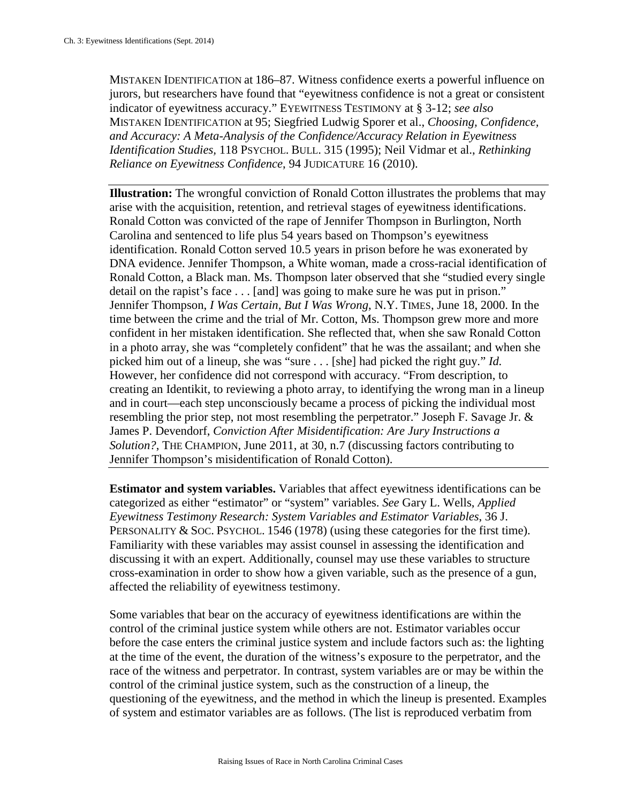MISTAKEN IDENTIFICATION at 186–87. Witness confidence exerts a powerful influence on jurors, but researchers have found that "eyewitness confidence is not a great or consistent indicator of eyewitness accuracy." EYEWITNESS TESTIMONY at § 3-12; *see also*  MISTAKEN IDENTIFICATION at 95; Siegfried Ludwig Sporer et al., *Choosing, Confidence, and Accuracy: A Meta-Analysis of the Confidence/Accuracy Relation in Eyewitness Identification Studies,* 118 PSYCHOL. BULL. 315 (1995); Neil Vidmar et al., *Rethinking Reliance on Eyewitness Confidence*, 94 JUDICATURE 16 (2010).

**Illustration:** The wrongful conviction of Ronald Cotton illustrates the problems that may arise with the acquisition, retention, and retrieval stages of eyewitness identifications. Ronald Cotton was convicted of the rape of Jennifer Thompson in Burlington, North Carolina and sentenced to life plus 54 years based on Thompson's eyewitness identification. Ronald Cotton served 10.5 years in prison before he was exonerated by DNA evidence. Jennifer Thompson, a White woman, made a cross-racial identification of Ronald Cotton, a Black man. Ms. Thompson later observed that she "studied every single detail on the rapist's face . . . [and] was going to make sure he was put in prison." Jennifer Thompson, *I Was Certain, But I Was Wrong*, N.Y. TIMES, June 18, 2000. In the time between the crime and the trial of Mr. Cotton, Ms. Thompson grew more and more confident in her mistaken identification. She reflected that, when she saw Ronald Cotton in a photo array, she was "completely confident" that he was the assailant; and when she picked him out of a lineup, she was "sure . . . [she] had picked the right guy." *Id.* However, her confidence did not correspond with accuracy. "From description, to creating an Identikit, to reviewing a photo array, to identifying the wrong man in a lineup and in court—each step unconsciously became a process of picking the individual most resembling the prior step, not most resembling the perpetrator." Joseph F. Savage Jr. & James P. Devendorf, *Conviction After Misidentification: Are Jury Instructions a Solution?*, THE CHAMPION, June 2011, at 30, n.7 (discussing factors contributing to Jennifer Thompson's misidentification of Ronald Cotton).

**Estimator and system variables.** Variables that affect eyewitness identifications can be categorized as either "estimator" or "system" variables. *See* Gary L. Wells, *Applied Eyewitness Testimony Research: System Variables and Estimator Variables*, 36 J. PERSONALITY & SOC. PSYCHOL. 1546 (1978) (using these categories for the first time). Familiarity with these variables may assist counsel in assessing the identification and discussing it with an expert. Additionally, counsel may use these variables to structure cross-examination in order to show how a given variable, such as the presence of a gun, affected the reliability of eyewitness testimony.

Some variables that bear on the accuracy of eyewitness identifications are within the control of the criminal justice system while others are not. Estimator variables occur before the case enters the criminal justice system and include factors such as: the lighting at the time of the event, the duration of the witness's exposure to the perpetrator, and the race of the witness and perpetrator. In contrast, system variables are or may be within the control of the criminal justice system, such as the construction of a lineup, the questioning of the eyewitness, and the method in which the lineup is presented. Examples of system and estimator variables are as follows. (The list is reproduced verbatim from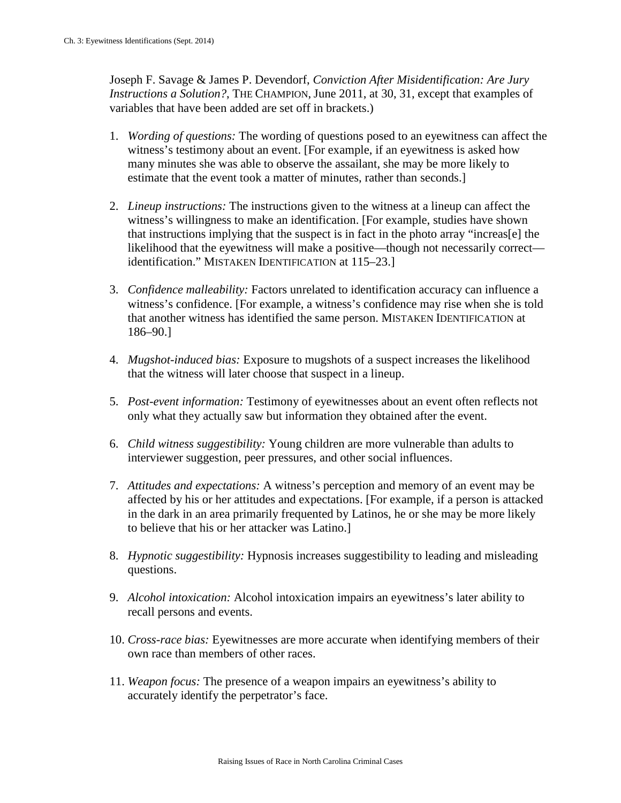Joseph F. Savage & James P. Devendorf, *Conviction After Misidentification: Are Jury Instructions a Solution?*, THE CHAMPION, June 2011, at 30, 31, except that examples of variables that have been added are set off in brackets.)

- 1. *Wording of questions:* The wording of questions posed to an eyewitness can affect the witness's testimony about an event. [For example, if an eyewitness is asked how many minutes she was able to observe the assailant, she may be more likely to estimate that the event took a matter of minutes, rather than seconds.]
- 2. *Lineup instructions:* The instructions given to the witness at a lineup can affect the witness's willingness to make an identification. [For example, studies have shown that instructions implying that the suspect is in fact in the photo array "increas[e] the likelihood that the eyewitness will make a positive—though not necessarily correct identification." MISTAKEN IDENTIFICATION at 115–23.]
- 3. *Confidence malleability:* Factors unrelated to identification accuracy can influence a witness's confidence. [For example, a witness's confidence may rise when she is told that another witness has identified the same person. MISTAKEN IDENTIFICATION at 186–90.]
- 4. *Mugshot-induced bias:* Exposure to mugshots of a suspect increases the likelihood that the witness will later choose that suspect in a lineup.
- 5. *Post-event information:* Testimony of eyewitnesses about an event often reflects not only what they actually saw but information they obtained after the event.
- 6. *Child witness suggestibility:* Young children are more vulnerable than adults to interviewer suggestion, peer pressures, and other social influences.
- 7. *Attitudes and expectations:* A witness's perception and memory of an event may be affected by his or her attitudes and expectations. [For example, if a person is attacked in the dark in an area primarily frequented by Latinos, he or she may be more likely to believe that his or her attacker was Latino.]
- 8. *Hypnotic suggestibility:* Hypnosis increases suggestibility to leading and misleading questions.
- 9. *Alcohol intoxication:* Alcohol intoxication impairs an eyewitness's later ability to recall persons and events.
- 10. *Cross-race bias:* Eyewitnesses are more accurate when identifying members of their own race than members of other races.
- 11. *Weapon focus:* The presence of a weapon impairs an eyewitness's ability to accurately identify the perpetrator's face.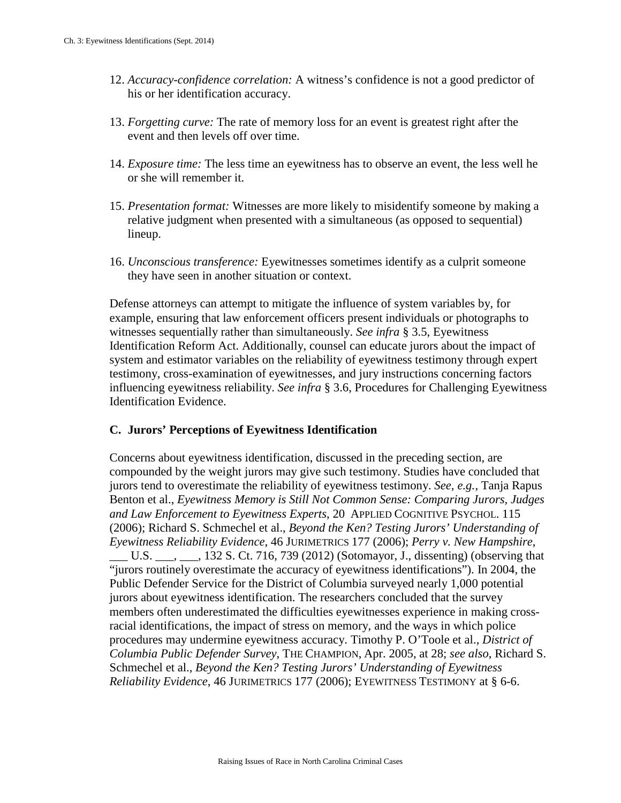- 12. *Accuracy-confidence correlation:* A witness's confidence is not a good predictor of his or her identification accuracy.
- 13. *Forgetting curve:* The rate of memory loss for an event is greatest right after the event and then levels off over time.
- 14. *Exposure time:* The less time an eyewitness has to observe an event, the less well he or she will remember it.
- 15. *Presentation format:* Witnesses are more likely to misidentify someone by making a relative judgment when presented with a simultaneous (as opposed to sequential) lineup.
- 16. *Unconscious transference:* Eyewitnesses sometimes identify as a culprit someone they have seen in another situation or context.

Defense attorneys can attempt to mitigate the influence of system variables by, for example, ensuring that law enforcement officers present individuals or photographs to witnesses sequentially rather than simultaneously. *See infra* § 3.5, Eyewitness Identification Reform Act. Additionally, counsel can educate jurors about the impact of system and estimator variables on the reliability of eyewitness testimony through expert testimony, cross-examination of eyewitnesses, and jury instructions concerning factors influencing eyewitness reliability. *See infra* § 3.6, Procedures for Challenging Eyewitness Identification Evidence.

## **C. Jurors' Perceptions of Eyewitness Identification**

Concerns about eyewitness identification, discussed in the preceding section, are compounded by the weight jurors may give such testimony. Studies have concluded that jurors tend to overestimate the reliability of eyewitness testimony. *See, e.g.*, Tanja Rapus Benton et al., *Eyewitness Memory is Still Not Common Sense: Comparing Jurors, Judges and Law Enforcement to Eyewitness Experts*, 20 APPLIED COGNITIVE PSYCHOL. 115 (2006); Richard S. Schmechel et al., *Beyond the Ken? Testing Jurors' Understanding of Eyewitness Reliability Evidence*, 46 JURIMETRICS 177 (2006); *Perry v. New Hampshire*, \_\_\_ U.S. \_\_\_, \_\_\_, 132 S. Ct. 716, 739 (2012) (Sotomayor, J., dissenting) (observing that "jurors routinely overestimate the accuracy of eyewitness identifications"). In 2004, the Public Defender Service for the District of Columbia surveyed nearly 1,000 potential jurors about eyewitness identification. The researchers concluded that the survey members often underestimated the difficulties eyewitnesses experience in making crossracial identifications, the impact of stress on memory, and the ways in which police procedures may undermine eyewitness accuracy. Timothy P. O'Toole et al., *District of Columbia Public Defender Survey*, THE CHAMPION, Apr. 2005, at 28; *see also*, Richard S. Schmechel et al., *Beyond the Ken? Testing Jurors' Understanding of Eyewitness Reliability Evidence*, 46 JURIMETRICS 177 (2006); EYEWITNESS TESTIMONY at § 6-6.